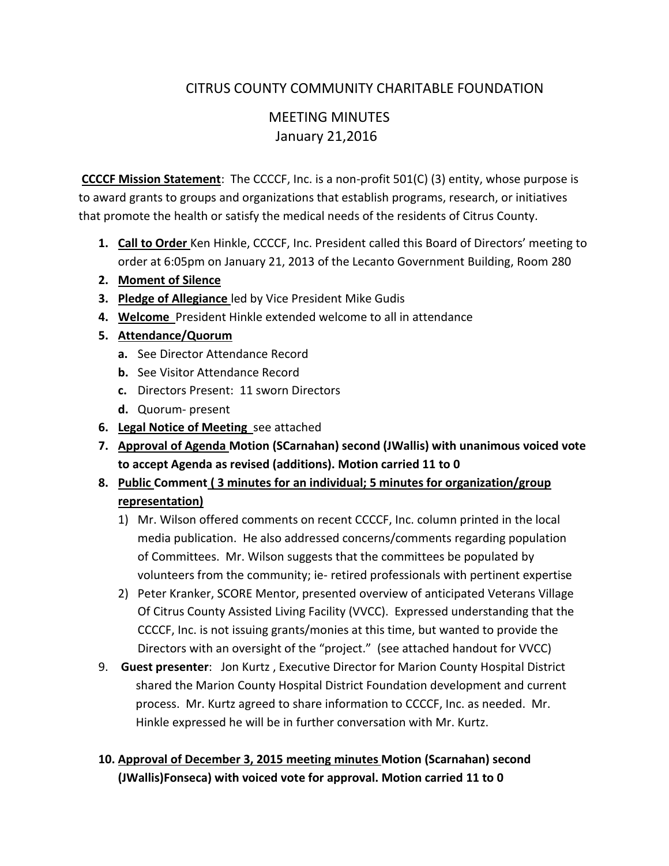# CITRUS COUNTY COMMUNITY CHARITABLE FOUNDATION

# MEETING MINUTES January 21,2016

**CCCCF Mission Statement**: The CCCCF, Inc. is a non-profit 501(C) (3) entity, whose purpose is to award grants to groups and organizations that establish programs, research, or initiatives that promote the health or satisfy the medical needs of the residents of Citrus County.

- **1. Call to Order** Ken Hinkle, CCCCF, Inc. President called this Board of Directors' meeting to order at 6:05pm on January 21, 2013 of the Lecanto Government Building, Room 280
- **2. Moment of Silence**
- **3. Pledge of Allegiance** led by Vice President Mike Gudis
- **4. Welcome** President Hinkle extended welcome to all in attendance
- **5. Attendance/Quorum**
	- **a.** See Director Attendance Record
	- **b.** See Visitor Attendance Record
	- **c.** Directors Present: 11 sworn Directors
	- **d.** Quorum- present
- **6. Legal Notice of Meeting** see attached
- **7. Approval of Agenda Motion (SCarnahan) second (JWallis) with unanimous voiced vote to accept Agenda as revised (additions). Motion carried 11 to 0**
- **8. Public Comment ( 3 minutes for an individual; 5 minutes for organization/group representation)**
	- 1) Mr. Wilson offered comments on recent CCCCF, Inc. column printed in the local media publication. He also addressed concerns/comments regarding population of Committees. Mr. Wilson suggests that the committees be populated by volunteers from the community; ie- retired professionals with pertinent expertise
	- 2) Peter Kranker, SCORE Mentor, presented overview of anticipated Veterans Village Of Citrus County Assisted Living Facility (VVCC). Expressed understanding that the CCCCF, Inc. is not issuing grants/monies at this time, but wanted to provide the Directors with an oversight of the "project." (see attached handout for VVCC)
- 9. **Guest presenter**: Jon Kurtz , Executive Director for Marion County Hospital District shared the Marion County Hospital District Foundation development and current process. Mr. Kurtz agreed to share information to CCCCF, Inc. as needed. Mr. Hinkle expressed he will be in further conversation with Mr. Kurtz.

## **10. Approval of December 3, 2015 meeting minutes Motion (Scarnahan) second (JWallis)Fonseca) with voiced vote for approval. Motion carried 11 to 0**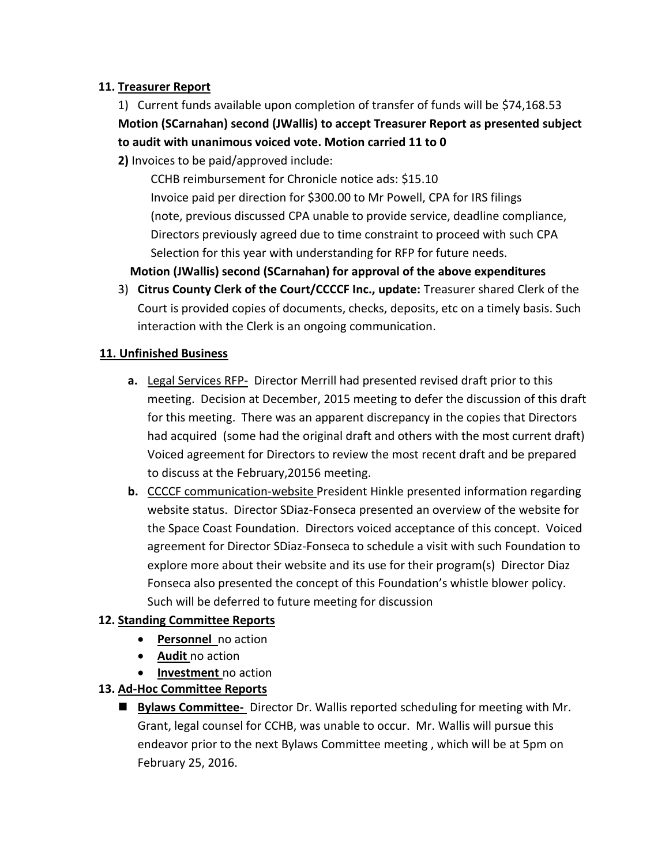### **11. Treasurer Report**

# 1) Current funds available upon completion of transfer of funds will be \$74,168.53 **Motion (SCarnahan) second (JWallis) to accept Treasurer Report as presented subject to audit with unanimous voiced vote. Motion carried 11 to 0**

**2)** Invoices to be paid/approved include:

 CCHB reimbursement for Chronicle notice ads: \$15.10 Invoice paid per direction for \$300.00 to Mr Powell, CPA for IRS filings (note, previous discussed CPA unable to provide service, deadline compliance, Directors previously agreed due to time constraint to proceed with such CPA Selection for this year with understanding for RFP for future needs.

## **Motion (JWallis) second (SCarnahan) for approval of the above expenditures**

3) **Citrus County Clerk of the Court/CCCCF Inc., update:** Treasurer shared Clerk of the Court is provided copies of documents, checks, deposits, etc on a timely basis. Such interaction with the Clerk is an ongoing communication.

#### **11. Unfinished Business**

- **a.** Legal Services RFP- Director Merrill had presented revised draft prior to this meeting. Decision at December, 2015 meeting to defer the discussion of this draft for this meeting. There was an apparent discrepancy in the copies that Directors had acquired (some had the original draft and others with the most current draft) Voiced agreement for Directors to review the most recent draft and be prepared to discuss at the February,20156 meeting.
- **b.** CCCCF communication-website President Hinkle presented information regarding website status. Director SDiaz-Fonseca presented an overview of the website for the Space Coast Foundation. Directors voiced acceptance of this concept. Voiced agreement for Director SDiaz-Fonseca to schedule a visit with such Foundation to explore more about their website and its use for their program(s) Director Diaz Fonseca also presented the concept of this Foundation's whistle blower policy. Such will be deferred to future meeting for discussion

### **12. Standing Committee Reports**

- **Personnel** no action
- **Audit** no action
- **•** Investment no action

### **13. Ad-Hoc Committee Reports**

 **Bylaws Committee-** Director Dr. Wallis reported scheduling for meeting with Mr. Grant, legal counsel for CCHB, was unable to occur. Mr. Wallis will pursue this endeavor prior to the next Bylaws Committee meeting , which will be at 5pm on February 25, 2016.